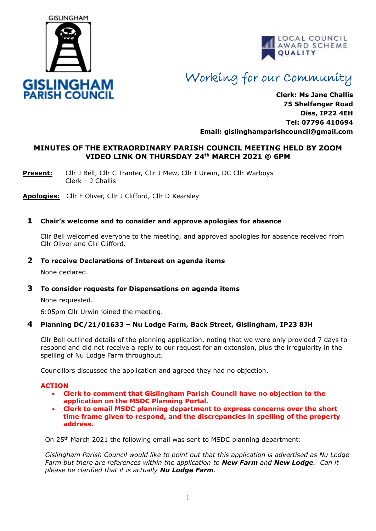



# Working for our Community

**Clerk: Ms Jane Challis 75 Shelfanger Road Diss, IP22 4EH Tel: 07796 410694 Email: [gislinghamparishcouncil@gmail.com](mailto:gislinghamparishcouncil@gmail.com)**

# **MINUTES OF THE EXTRAORDINARY PARISH COUNCIL MEETING HELD BY ZOOM VIDEO LINK ON THURSDAY 24th MARCH 2021 @ 6PM**

**Present:** Cllr J Bell, Cllr C Tranter, Cllr J Mew, Cllr I Urwin, DC Cllr Warboys Clerk – J Challis

**Apologies:** Cllr F Oliver, Cllr J Clifford, Cllr D Kearsley

### **1 Chair's welcome and to consider and approve apologies for absence**

 Cllr Bell welcomed everyone to the meeting, and approved apologies for absence received from Cllr Oliver and Cllr Clifford.

#### **2 To receive Declarations of Interest on agenda items**

None declared.

### **3 To consider requests for Dispensations on agenda items**

None requested.

6:05pm Cllr Urwin joined the meeting.

# **4 Planning DC/21/01633 – Nu Lodge Farm, Back Street, Gislingham, IP23 8JH**

Cllr Bell outlined details of the planning application, noting that we were only provided 7 days to respond and did not receive a reply to our request for an extension, plus the irregularity in the spelling of Nu Lodge Farm throughout.

Councillors discussed the application and agreed they had no objection.

#### **ACTION**

- **Clerk to comment that Gislingham Parish Council have no objection to the application on the MSDC Planning Portal.**
- **Clerk to email MSDC planning department to express concerns over the short time frame given to respond, and the discrepancies in spelling of the property address.**

On 25th March 2021 the following email was sent to MSDC planning department:

*Gislingham Parish Council would like to point out that this application is advertised as Nu Lodge Farm but there are references within the application to New Farm and New Lodge. Can it please be clarified that it is actually Nu Lodge Farm.*